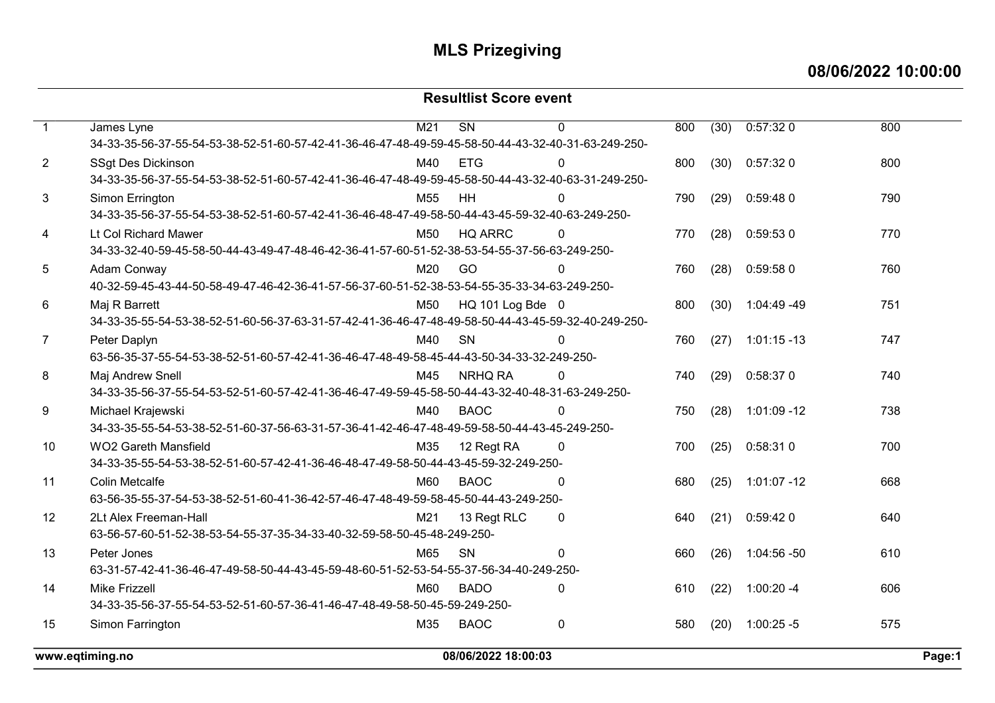### 08/06/2022 10:00:00

#### Resultlist Score event

|                | www.eqtiming.no                                                                                                                 | 08/06/2022 18:00:03 |                        |             |     |      |                | Page:1 |  |
|----------------|---------------------------------------------------------------------------------------------------------------------------------|---------------------|------------------------|-------------|-----|------|----------------|--------|--|
| 15             | Simon Farrington                                                                                                                | M35                 | <b>BAOC</b>            | 0           | 580 | (20) | $1:00:25 - 5$  | 575    |  |
|                | 34-33-35-56-37-55-54-53-52-51-60-57-36-41-46-47-48-49-58-50-45-59-249-250-                                                      |                     |                        |             |     |      |                |        |  |
| 14             | <b>Mike Frizzell</b>                                                                                                            | M60                 | <b>BADO</b>            | $\Omega$    | 610 | (22) | $1:00:20 - 4$  | 606    |  |
|                | 63-31-57-42-41-36-46-47-49-58-50-44-43-45-59-48-60-51-52-53-54-55-37-56-34-40-249-250-                                          |                     |                        |             |     |      |                |        |  |
| 13             | Peter Jones                                                                                                                     | M65                 | SN                     | 0           | 660 | (26) | $1:04:56 - 50$ | 610    |  |
|                | 63-56-57-60-51-52-38-53-54-55-37-35-34-33-40-32-59-58-50-45-48-249-250-                                                         |                     |                        |             |     |      |                |        |  |
| 12             | 2Lt Alex Freeman-Hall                                                                                                           | M21                 | 13 Regt RLC            | 0           | 640 | (21) | 0:59:420       | 640    |  |
|                | 63-56-35-55-37-54-53-38-52-51-60-41-36-42-57-46-47-48-49-59-58-45-50-44-43-249-250-                                             |                     |                        |             |     |      |                |        |  |
| 11             | <b>Colin Metcalfe</b>                                                                                                           | M60                 | <b>BAOC</b>            | 0           | 680 | (25) | $1:01:07 - 12$ | 668    |  |
|                | 34-33-35-55-54-53-38-52-51-60-57-42-41-36-46-48-47-49-58-50-44-43-45-59-32-249-250-                                             |                     |                        |             |     |      |                |        |  |
| 10             | <b>WO2 Gareth Mansfield</b>                                                                                                     | M35                 | 12 Regt RA             | $\Omega$    | 700 | (25) | 0:58:31 0      | 700    |  |
|                | 34-33-35-55-54-53-38-52-51-60-37-56-63-31-57-36-41-42-46-47-48-49-59-58-50-44-43-45-249-250-                                    |                     |                        |             |     |      |                |        |  |
| 9              | Michael Krajewski                                                                                                               | M40                 | <b>BAOC</b>            | 0           | 750 | (28) | $1:01:09 - 12$ | 738    |  |
|                | 34-33-35-56-37-55-54-53-52-51-60-57-42-41-36-46-47-49-59-45-58-50-44-43-32-40-48-31-63-249-250-                                 |                     |                        |             |     |      |                |        |  |
| 8              | Maj Andrew Snell                                                                                                                | M45                 | NRHQ RA                | 0           | 740 | (29) | 0:58:37 0      | 740    |  |
|                | 63-56-35-37-55-54-53-38-52-51-60-57-42-41-36-46-47-48-49-58-45-44-43-50-34-33-32-249-250-                                       |                     |                        |             |     |      |                |        |  |
| $\overline{7}$ | Peter Daplyn                                                                                                                    | M40                 | SN                     | $\mathbf 0$ | 760 | (27) | $1:01:15 - 13$ | 747    |  |
|                | 34-33-35-55-54-53-38-52-51-60-56-37-63-31-57-42-41-36-46-47-48-49-58-50-44-43-45-59-32-40-249-250-                              |                     |                        |             |     |      |                |        |  |
| 6              | Maj R Barrett                                                                                                                   | M50                 | HQ 101 Log Bde 0       |             | 800 | (30) | 1:04:49 -49    | 751    |  |
|                | 40-32-59-45-43-44-50-58-49-47-46-42-36-41-57-56-37-60-51-52-38-53-54-55-35-33-34-63-249-250-                                    |                     |                        |             |     |      |                |        |  |
| 5              | Adam Conway                                                                                                                     | M20                 | GO                     | $\Omega$    | 760 | (28) | 0:59:58 0      | 760    |  |
|                | 0<br>(28)<br>0:59:53 0<br>34-33-32-40-59-45-58-50-44-43-49-47-48-46-42-36-41-57-60-51-52-38-53-54-55-37-56-63-249-250-          |                     |                        |             |     |      |                |        |  |
| 4              | Lt Col Richard Mawer                                                                                                            | M <sub>50</sub>     | <b>HQ ARRC</b>         |             | 770 |      |                | 770    |  |
| 3              | Simon Errington<br>34-33-35-56-37-55-54-53-38-52-51-60-57-42-41-36-46-48-47-49-58-50-44-43-45-59-32-40-63-249-250-              | M <sub>55</sub>     | HH                     | $\Omega$    | 790 | (29) | 0:59:480       | 790    |  |
|                |                                                                                                                                 |                     |                        |             |     |      |                |        |  |
| $\overline{2}$ | <b>SSgt Des Dickinson</b><br>34-33-35-56-37-55-54-53-38-52-51-60-57-42-41-36-46-47-48-49-59-45-58-50-44-43-32-40-63-31-249-250- | M40                 | <b>ETG</b>             | $\Omega$    | 800 | (30) | 0:57:320       | 800    |  |
|                | 34-33-35-56-37-55-54-53-38-52-51-60-57-42-41-36-46-47-48-49-59-45-58-50-44-43-32-40-31-63-249-250-                              |                     |                        |             |     |      |                |        |  |
| $\mathbf{1}$   | James Lyne                                                                                                                      | M <sub>21</sub>     | $\overline{\text{SN}}$ | $\Omega$    | 800 | (30) | 0:57:320       | 800    |  |
|                |                                                                                                                                 |                     |                        |             |     |      |                |        |  |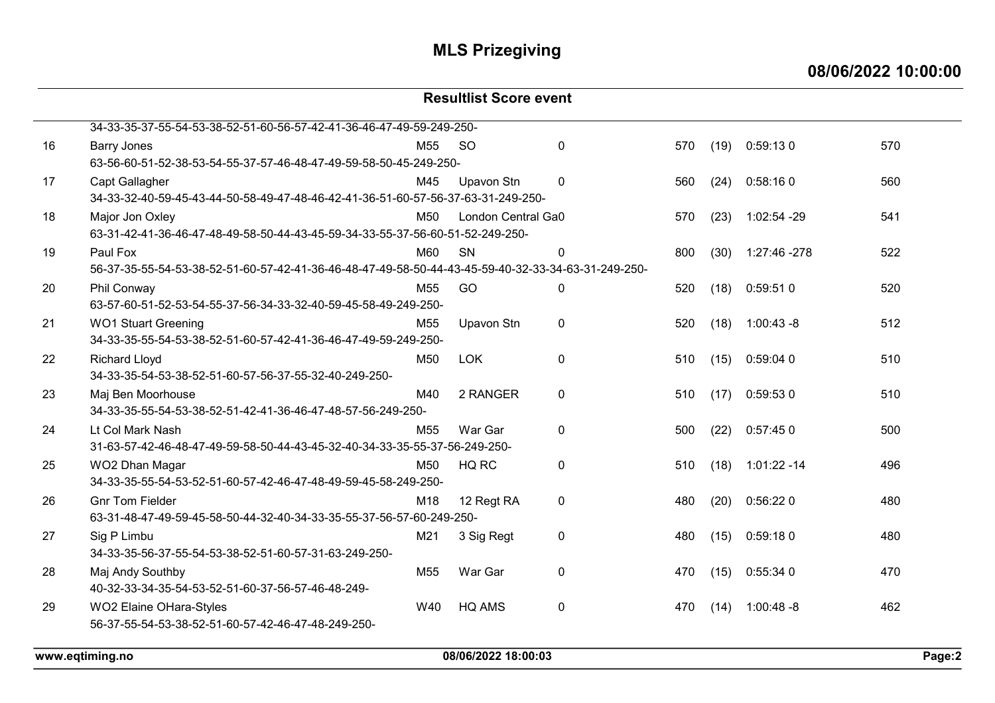08/06/2022 10:00:00

#### Resultlist Score event 34-33-35-37-55-54-53-38-52-51-60-56-57-42-41-36-46-47-49-59-249-250- 16 Barry Jones M55 SO 0 570 (19) 0:59:13 0 570 63-56-60-51-52-38-53-54-55-37-57-46-48-47-49-59-58-50-45-249-250- 17 Capt Gallagher M45 Upavon Stn 0 560 (24) 0:58:16 0 560 34-33-32-40-59-45-43-44-50-58-49-47-48-46-42-41-36-51-60-57-56-37-63-31-249-250- 18 Major Jon Oxley 18 M50 London Central Ga0 570 (23) 1:02:54 -29 541 63-31-42-41-36-46-47-48-49-58-50-44-43-45-59-34-33-55-37-56-60-51-52-249-250- 19 Paul Fox M60 SN 0 800 (30) 1:27:46 -278 522 56-37-35-55-54-53-38-52-51-60-57-42-41-36-46-48-47-49-58-50-44-43-45-59-40-32-33-34-63-31-249-250- 20 Phil Conway M55 GO 0 520 (18) 0:59:51 0 520 63-57-60-51-52-53-54-55-37-56-34-33-32-40-59-45-58-49-249-250- 21 WO1 Stuart Greening M55 Upavon Stn 0 520 (18) 1:00:43 -8 512 34-33-35-55-54-53-38-52-51-60-57-42-41-36-46-47-49-59-249-250- 22 Richard Lloyd M50 LOK 0 510 (15) 0:59:04 0 510 34-33-35-54-53-38-52-51-60-57-56-37-55-32-40-249-250- 23 Maj Ben Moorhouse M40 2 RANGER 0 510 (17) 0:59:53 0 510 34-33-35-55-54-53-38-52-51-42-41-36-46-47-48-57-56-249-250- 24 Lt Col Mark Nash M55 War Gar 0 500 (22) 0:57:45 0 500 31-63-57-42-46-48-47-49-59-58-50-44-43-45-32-40-34-33-35-55-37-56-249-250- 25 WO2 Dhan Magar M50 HQ RC 0 510 (18) 1:01:22 -14 496 34-33-35-55-54-53-52-51-60-57-42-46-47-48-49-59-45-58-249-250- 26 Gnr Tom Fielder M18 12 Regt RA 0 480 (20) 0:56:22 0 480 63-31-48-47-49-59-45-58-50-44-32-40-34-33-35-55-37-56-57-60-249-250- 27 Sig P Limbu M21 3 Sig Regt 0 480 (15) 0:59:18 0 480 34-33-35-56-37-55-54-53-38-52-51-60-57-31-63-249-250- 28 Maj Andy Southby M55 War Gar 0 470 (15) 0:55:34 0 470 40-32-33-34-35-54-53-52-51-60-37-56-57-46-48-249- 29 WO2 Elaine OHara-Styles W40 HQ AMS 0 470 (14) 1:00:48 -8 462 56-37-55-54-53-38-52-51-60-57-42-46-47-48-249-250-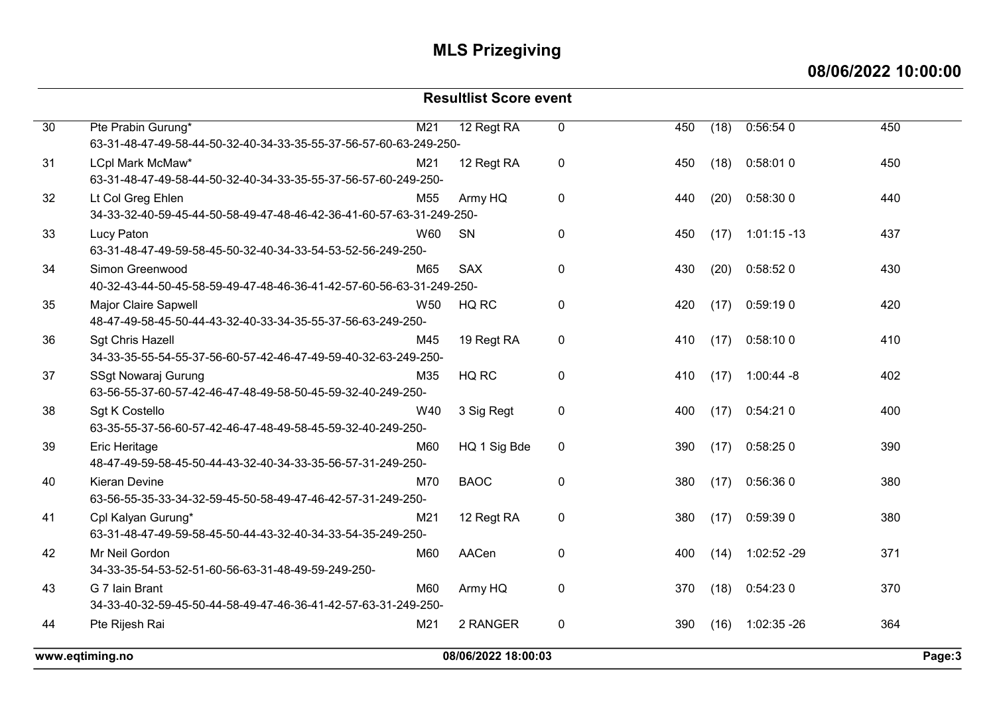08/06/2022 10:00:00

| <b>Resultlist Score event</b> |                                                                                           |                 |                     |             |     |      |                |        |  |
|-------------------------------|-------------------------------------------------------------------------------------------|-----------------|---------------------|-------------|-----|------|----------------|--------|--|
| 30                            | Pte Prabin Gurung*                                                                        | M21             | 12 Regt RA          | 0           | 450 | (18) | 0:56:540       | 450    |  |
|                               | 63-31-48-47-49-58-44-50-32-40-34-33-35-55-37-56-57-60-63-249-250-                         |                 |                     |             |     |      |                |        |  |
| 31                            | LCpl Mark McMaw*<br>63-31-48-47-49-58-44-50-32-40-34-33-35-55-37-56-57-60-249-250-        | M21             | 12 Regt RA          | $\pmb{0}$   | 450 | (18) | 0:58:010       | 450    |  |
| 32                            | Lt Col Greg Ehlen<br>34-33-32-40-59-45-44-50-58-49-47-48-46-42-36-41-60-57-63-31-249-250- | M <sub>55</sub> | Army HQ             | $\mathbf 0$ | 440 | (20) | 0:58:30 0      | 440    |  |
| 33                            | Lucy Paton                                                                                | W60             | SN                  | $\mathbf 0$ | 450 | (17) | $1:01:15 - 13$ | 437    |  |
|                               | 63-31-48-47-49-59-58-45-50-32-40-34-33-54-53-52-56-249-250-                               |                 |                     |             |     |      |                |        |  |
| 34                            | Simon Greenwood                                                                           | M65             | <b>SAX</b>          | $\mathbf 0$ | 430 | (20) | 0:58:520       | 430    |  |
|                               | 40-32-43-44-50-45-58-59-49-47-48-46-36-41-42-57-60-56-63-31-249-250-                      |                 |                     |             |     |      |                |        |  |
| 35                            | Major Claire Sapwell<br>48-47-49-58-45-50-44-43-32-40-33-34-35-55-37-56-63-249-250-       | W <sub>50</sub> | HQ RC               | $\mathbf 0$ | 420 | (17) | 0:59:190       | 420    |  |
| 36                            | <b>Sgt Chris Hazell</b><br>34-33-35-55-54-55-37-56-60-57-42-46-47-49-59-40-32-63-249-250- | M45             | 19 Regt RA          | $\mathbf 0$ | 410 | (17) | 0:58:100       | 410    |  |
| 37                            | SSgt Nowaraj Gurung<br>63-56-55-37-60-57-42-46-47-48-49-58-50-45-59-32-40-249-250-        | M35             | HQ RC               | $\mathbf 0$ | 410 | (17) | $1:00:44 - 8$  | 402    |  |
| 38                            | Sgt K Costello<br>63-35-55-37-56-60-57-42-46-47-48-49-58-45-59-32-40-249-250-             | W40             | 3 Sig Regt          | $\pmb{0}$   | 400 | (17) | 0:54:210       | 400    |  |
| 39                            | Eric Heritage<br>48-47-49-59-58-45-50-44-43-32-40-34-33-35-56-57-31-249-250-              | M60             | HQ 1 Sig Bde        | $\mathbf 0$ | 390 | (17) | 0:58:250       | 390    |  |
| 40                            | <b>Kieran Devine</b><br>63-56-55-35-33-34-32-59-45-50-58-49-47-46-42-57-31-249-250-       | M70             | <b>BAOC</b>         | $\mathbf 0$ | 380 | (17) | 0:56:360       | 380    |  |
| 41                            | Cpl Kalyan Gurung*<br>63-31-48-47-49-59-58-45-50-44-43-32-40-34-33-54-35-249-250-         | M21             | 12 Regt RA          | $\mathbf 0$ | 380 | (17) | 0:59:39 0      | 380    |  |
| 42                            | Mr Neil Gordon<br>34-33-35-54-53-52-51-60-56-63-31-48-49-59-249-250-                      | M60             | AACen               | $\mathbf 0$ | 400 | (14) | 1:02:52 -29    | 371    |  |
| 43                            | G 7 Iain Brant                                                                            | M60             | Army HQ             | 0           | 370 | (18) | 0:54:230       | 370    |  |
|                               | 34-33-40-32-59-45-50-44-58-49-47-46-36-41-42-57-63-31-249-250-                            |                 |                     |             |     |      |                |        |  |
| 44                            | Pte Rijesh Rai                                                                            | M21             | 2 RANGER            | $\pmb{0}$   | 390 | (16) | 1:02:35 -26    | 364    |  |
|                               | www.eatimina.no                                                                           |                 | 08/06/2022 18:00:03 |             |     |      |                | Page:3 |  |